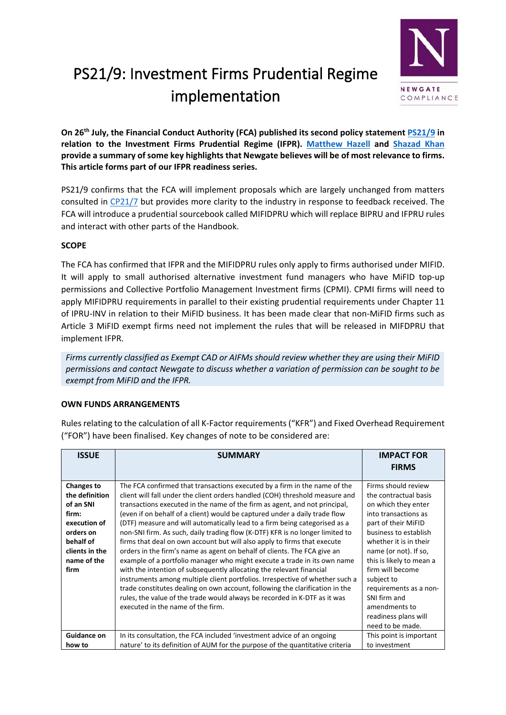

# PS21/9: Investment Firms Prudential Regime implementation

**On 26th July, the Financial Conduct Authority (FCA) published its second policy statemen[t PS21/9](https://www.fca.org.uk/publication/policy/ps21-9.pdf) in relation to the Investment Firms Prudential Regime (IFPR). [Matthew Hazell](http://newgatecompliance.com/matthew-hazell) and [Shazad Khan](https://www.linkedin.com/in/shazad-khan-497679108/?originalSubdomain=uk) provide a summary of some key highlights that Newgate believes will be of most relevance to firms. This article forms part of our IFPR readiness series.**

PS21/9 confirms that the FCA will implement proposals which are largely unchanged from matters consulted in [CP21/7](https://www.fca.org.uk/publication/consultation/cp21-7.pdf) but provides more clarity to the industry in response to feedback received. The FCA will introduce a prudential sourcebook called MIFIDPRU which will replace BIPRU and IFPRU rules and interact with other parts of the Handbook.

### **SCOPE**

The FCA has confirmed that IFPR and the MIFIDPRU rules only apply to firms authorised under MIFID. It will apply to small authorised alternative investment fund managers who have MiFID top-up permissions and Collective Portfolio Management Investment firms (CPMI). CPMI firms will need to apply MIFIDPRU requirements in parallel to their existing prudential requirements under Chapter 11 of IPRU-INV in relation to their MiFID business. It has been made clear that non-MiFID firms such as Article 3 MiFID exempt firms need not implement the rules that will be released in MIFDPRU that implement IFPR.

*Firms currently classified as Exempt CAD or AIFMs should review whether they are using their MiFID permissions and contact Newgate to discuss whether a variation of permission can be sought to be exempt from MiFID and the IFPR.*

## **OWN FUNDS ARRANGEMENTS**

Rules relating to the calculation of all K-Factor requirements ("KFR") and Fixed Overhead Requirement ("FOR") have been finalised. Key changes of note to be considered are:

| <b>ISSUE</b>                                                                                                                                 | <b>SUMMARY</b>                                                                                                                                                                                                                                                                                                                                                                                                                                                                                                                                                                                                                                                                                                                                                                                                                                                                                                                                                                                                                                                                     | <b>IMPACT FOR</b><br><b>FIRMS</b>                                                                                                                                                                                                                                                                                                                                   |
|----------------------------------------------------------------------------------------------------------------------------------------------|------------------------------------------------------------------------------------------------------------------------------------------------------------------------------------------------------------------------------------------------------------------------------------------------------------------------------------------------------------------------------------------------------------------------------------------------------------------------------------------------------------------------------------------------------------------------------------------------------------------------------------------------------------------------------------------------------------------------------------------------------------------------------------------------------------------------------------------------------------------------------------------------------------------------------------------------------------------------------------------------------------------------------------------------------------------------------------|---------------------------------------------------------------------------------------------------------------------------------------------------------------------------------------------------------------------------------------------------------------------------------------------------------------------------------------------------------------------|
| <b>Changes to</b><br>the definition<br>of an SNI<br>firm:<br>execution of<br>orders on<br>behalf of<br>clients in the<br>name of the<br>firm | The FCA confirmed that transactions executed by a firm in the name of the<br>client will fall under the client orders handled (COH) threshold measure and<br>transactions executed in the name of the firm as agent, and not principal,<br>(even if on behalf of a client) would be captured under a daily trade flow<br>(DTF) measure and will automatically lead to a firm being categorised as a<br>non-SNI firm. As such, daily trading flow (K-DTF) KFR is no longer limited to<br>firms that deal on own account but will also apply to firms that execute<br>orders in the firm's name as agent on behalf of clients. The FCA give an<br>example of a portfolio manager who might execute a trade in its own name<br>with the intention of subsequently allocating the relevant financial<br>instruments among multiple client portfolios. Irrespective of whether such a<br>trade constitutes dealing on own account, following the clarification in the<br>rules, the value of the trade would always be recorded in K-DTF as it was<br>executed in the name of the firm. | Firms should review<br>the contractual basis<br>on which they enter<br>into transactions as<br>part of their MiFID<br>business to establish<br>whether it is in their<br>name (or not). If so,<br>this is likely to mean a<br>firm will become<br>subject to<br>requirements as a non-<br>SNI firm and<br>amendments to<br>readiness plans will<br>need to be made. |
| <b>Guidance on</b><br>how to                                                                                                                 | In its consultation, the FCA included 'investment advice of an ongoing<br>nature' to its definition of AUM for the purpose of the quantitative criteria                                                                                                                                                                                                                                                                                                                                                                                                                                                                                                                                                                                                                                                                                                                                                                                                                                                                                                                            | This point is important<br>to investment                                                                                                                                                                                                                                                                                                                            |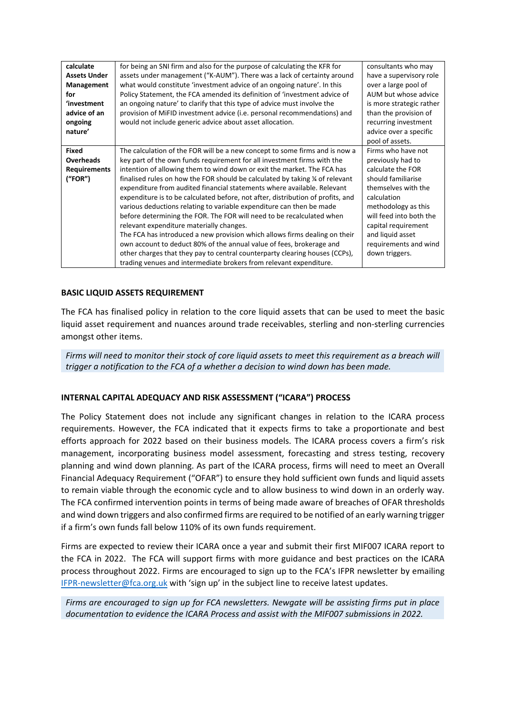| calculate<br><b>Assets Under</b><br>Management<br>for<br>'investment<br>advice of an<br>ongoing<br>nature' | for being an SNI firm and also for the purpose of calculating the KFR for<br>assets under management ("K-AUM"). There was a lack of certainty around<br>what would constitute 'investment advice of an ongoing nature'. In this<br>Policy Statement, the FCA amended its definition of 'investment advice of<br>an ongoing nature' to clarify that this type of advice must involve the<br>provision of MiFID investment advice (i.e. personal recommendations) and<br>would not include generic advice about asset allocation.                                                                                                                                                                                                                                                                                                                                                                                                                                                        | consultants who may<br>have a supervisory role<br>over a large pool of<br>AUM but whose advice<br>is more strategic rather<br>than the provision of<br>recurring investment<br>advice over a specific<br>pool of assets.                                         |
|------------------------------------------------------------------------------------------------------------|----------------------------------------------------------------------------------------------------------------------------------------------------------------------------------------------------------------------------------------------------------------------------------------------------------------------------------------------------------------------------------------------------------------------------------------------------------------------------------------------------------------------------------------------------------------------------------------------------------------------------------------------------------------------------------------------------------------------------------------------------------------------------------------------------------------------------------------------------------------------------------------------------------------------------------------------------------------------------------------|------------------------------------------------------------------------------------------------------------------------------------------------------------------------------------------------------------------------------------------------------------------|
| <b>Fixed</b><br><b>Overheads</b><br><b>Requirements</b><br>(''FOR")                                        | The calculation of the FOR will be a new concept to some firms and is now a<br>key part of the own funds requirement for all investment firms with the<br>intention of allowing them to wind down or exit the market. The FCA has<br>finalised rules on how the FOR should be calculated by taking % of relevant<br>expenditure from audited financial statements where available. Relevant<br>expenditure is to be calculated before, not after, distribution of profits, and<br>various deductions relating to variable expenditure can then be made<br>before determining the FOR. The FOR will need to be recalculated when<br>relevant expenditure materially changes.<br>The FCA has introduced a new provision which allows firms dealing on their<br>own account to deduct 80% of the annual value of fees, brokerage and<br>other charges that they pay to central counterparty clearing houses (CCPs),<br>trading venues and intermediate brokers from relevant expenditure. | Firms who have not<br>previously had to<br>calculate the FOR<br>should familiarise<br>themselves with the<br>calculation<br>methodology as this<br>will feed into both the<br>capital requirement<br>and liquid asset<br>requirements and wind<br>down triggers. |

#### **BASIC LIQUID ASSETS REQUIREMENT**

The FCA has finalised policy in relation to the core liquid assets that can be used to meet the basic liquid asset requirement and nuances around trade receivables, sterling and non-sterling currencies amongst other items.

*Firms will need to monitor their stock of core liquid assets to meet this requirement as a breach will trigger a notification to the FCA of a whether a decision to wind down has been made.* 

#### **INTERNAL CAPITAL ADEQUACY AND RISK ASSESSMENT ("ICARA") PROCESS**

The Policy Statement does not include any significant changes in relation to the ICARA process requirements. However, the FCA indicated that it expects firms to take a proportionate and best efforts approach for 2022 based on their business models. The ICARA process covers a firm's risk management, incorporating business model assessment, forecasting and stress testing, recovery planning and wind down planning. As part of the ICARA process, firms will need to meet an Overall Financial Adequacy Requirement ("OFAR") to ensure they hold sufficient own funds and liquid assets to remain viable through the economic cycle and to allow business to wind down in an orderly way. The FCA confirmed intervention points in terms of being made aware of breaches of OFAR thresholds and wind down triggers and also confirmed firms are required to be notified of an early warning trigger if a firm's own funds fall below 110% of its own funds requirement.

Firms are expected to review their ICARA once a year and submit their first MIF007 ICARA report to the FCA in 2022. The FCA will support firms with more guidance and best practices on the ICARA process throughout 2022. Firms are encouraged to sign up to the FCA's IFPR newsletter by emailing [IFPR-newsletter@fca.org.uk](mailto:IFPR-newsletter@fca.org.uk) with 'sign up' in the subject line to receive latest updates.

*Firms are encouraged to sign up for FCA newsletters. Newgate will be assisting firms put in place documentation to evidence the ICARA Process and assist with the MIF007 submissions in 2022.*